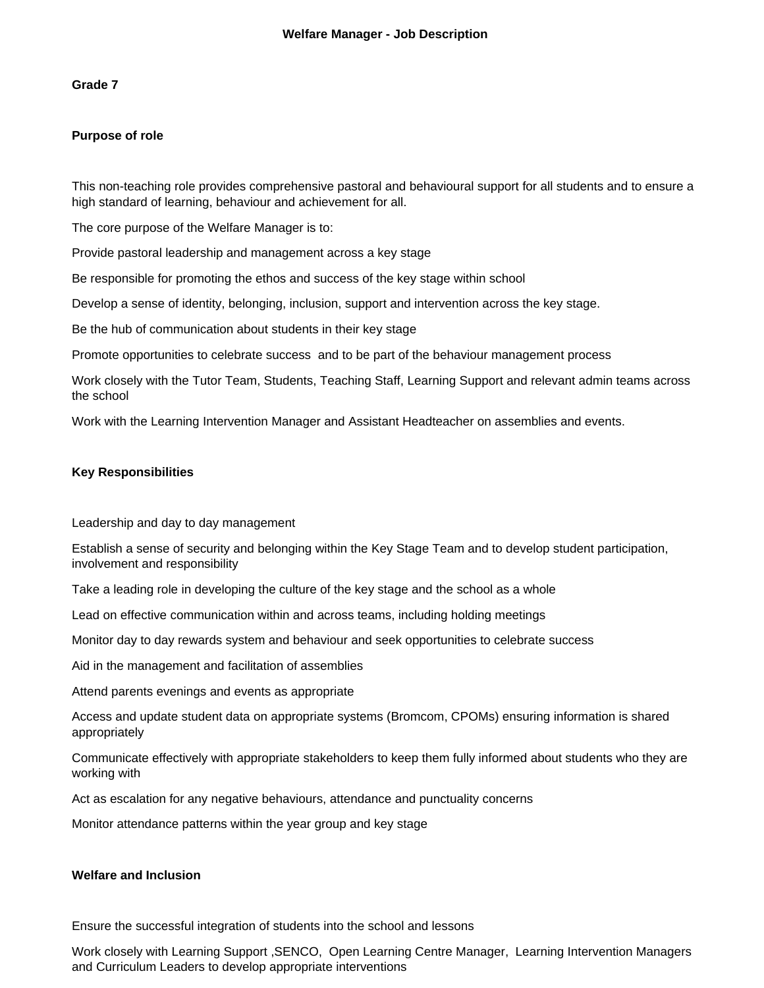#### **Grade 7**

#### **Purpose of role**

This non-teaching role provides comprehensive pastoral and behavioural support for all students and to ensure a high standard of learning, behaviour and achievement for all.

The core purpose of the Welfare Manager is to:

Provide pastoral leadership and management across a key stage

Be responsible for promoting the ethos and success of the key stage within school

Develop a sense of identity, belonging, inclusion, support and intervention across the key stage.

Be the hub of communication about students in their key stage

Promote opportunities to celebrate success and to be part of the behaviour management process

Work closely with the Tutor Team, Students, Teaching Staff, Learning Support and relevant admin teams across the school

Work with the Learning Intervention Manager and Assistant Headteacher on assemblies and events.

#### **Key Responsibilities**

Leadership and day to day management

Establish a sense of security and belonging within the Key Stage Team and to develop student participation, involvement and responsibility

Take a leading role in developing the culture of the key stage and the school as a whole

Lead on effective communication within and across teams, including holding meetings

Monitor day to day rewards system and behaviour and seek opportunities to celebrate success

Aid in the management and facilitation of assemblies

Attend parents evenings and events as appropriate

Access and update student data on appropriate systems (Bromcom, CPOMs) ensuring information is shared appropriately

Communicate effectively with appropriate stakeholders to keep them fully informed about students who they are working with

Act as escalation for any negative behaviours, attendance and punctuality concerns

Monitor attendance patterns within the year group and key stage

#### **Welfare and Inclusion**

Ensure the successful integration of students into the school and lessons

Work closely with Learning Support ,SENCO, Open Learning Centre Manager, Learning Intervention Managers and Curriculum Leaders to develop appropriate interventions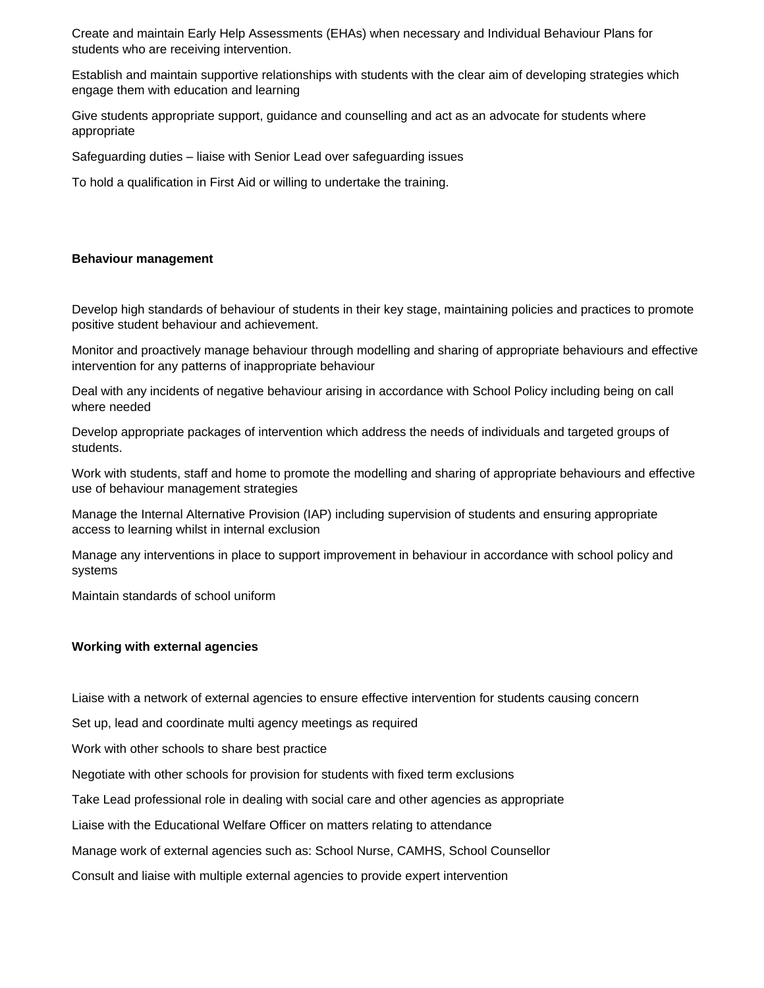Create and maintain Early Help Assessments (EHAs) when necessary and Individual Behaviour Plans for students who are receiving intervention.

Establish and maintain supportive relationships with students with the clear aim of developing strategies which engage them with education and learning

Give students appropriate support, guidance and counselling and act as an advocate for students where appropriate

Safeguarding duties – liaise with Senior Lead over safeguarding issues

To hold a qualification in First Aid or willing to undertake the training.

#### **Behaviour management**

Develop high standards of behaviour of students in their key stage, maintaining policies and practices to promote positive student behaviour and achievement.

Monitor and proactively manage behaviour through modelling and sharing of appropriate behaviours and effective intervention for any patterns of inappropriate behaviour

Deal with any incidents of negative behaviour arising in accordance with School Policy including being on call where needed

Develop appropriate packages of intervention which address the needs of individuals and targeted groups of students.

Work with students, staff and home to promote the modelling and sharing of appropriate behaviours and effective use of behaviour management strategies

Manage the Internal Alternative Provision (IAP) including supervision of students and ensuring appropriate access to learning whilst in internal exclusion

Manage any interventions in place to support improvement in behaviour in accordance with school policy and systems

Maintain standards of school uniform

#### **Working with external agencies**

Liaise with a network of external agencies to ensure effective intervention for students causing concern

Set up, lead and coordinate multi agency meetings as required

Work with other schools to share best practice

Negotiate with other schools for provision for students with fixed term exclusions

Take Lead professional role in dealing with social care and other agencies as appropriate

Liaise with the Educational Welfare Officer on matters relating to attendance

Manage work of external agencies such as: School Nurse, CAMHS, School Counsellor

Consult and liaise with multiple external agencies to provide expert intervention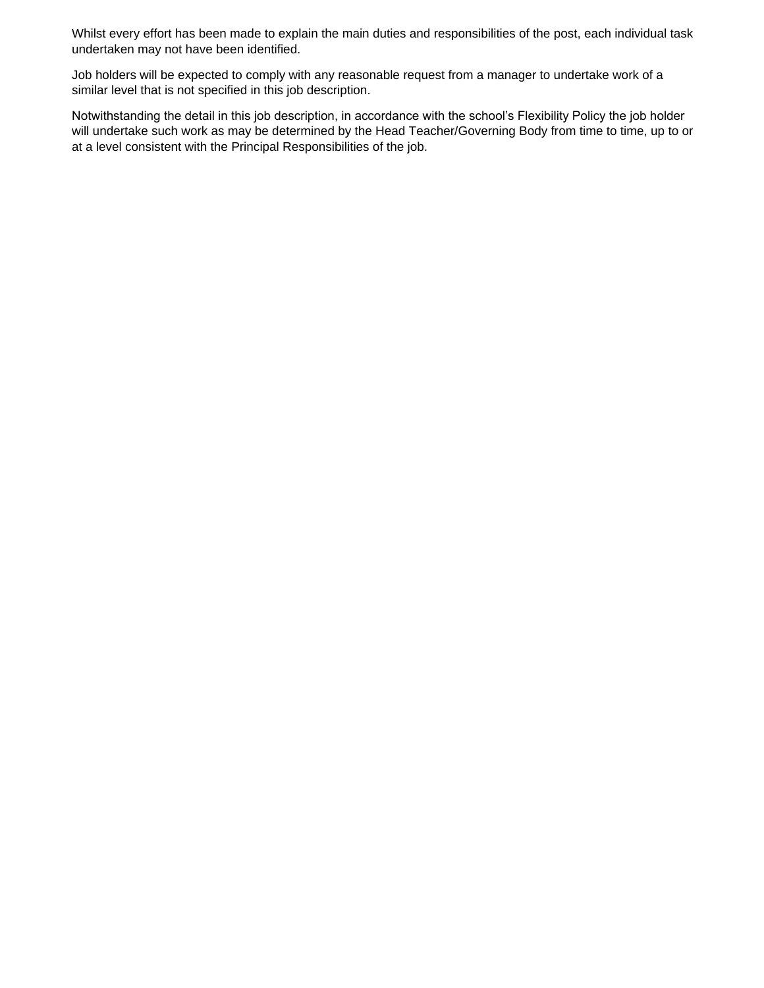Whilst every effort has been made to explain the main duties and responsibilities of the post, each individual task undertaken may not have been identified.

Job holders will be expected to comply with any reasonable request from a manager to undertake work of a similar level that is not specified in this job description.

Notwithstanding the detail in this job description, in accordance with the school's Flexibility Policy the job holder will undertake such work as may be determined by the Head Teacher/Governing Body from time to time, up to or at a level consistent with the Principal Responsibilities of the job.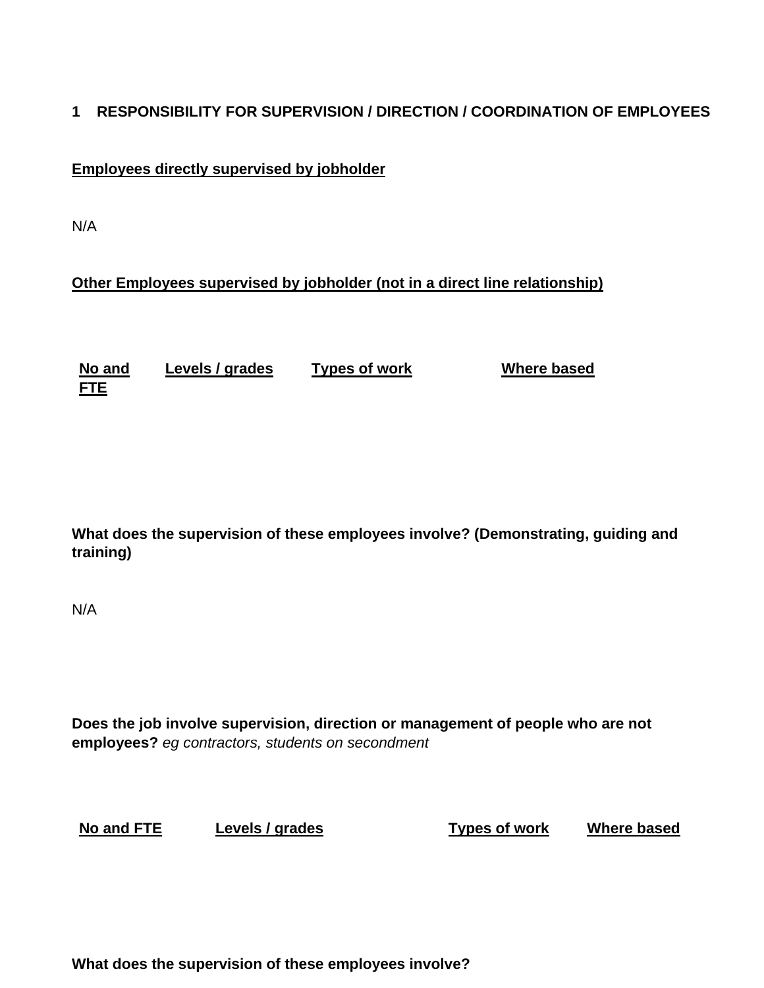## **1 RESPONSIBILITY FOR SUPERVISION / DIRECTION / COORDINATION OF EMPLOYEES**

## **Employees directly supervised by jobholder**

N/A

## **Other Employees supervised by jobholder (not in a direct line relationship)**

**No and FTE Levels / grades Types of work Where based**

**What does the supervision of these employees involve? (Demonstrating, guiding and training)**

N/A

**Does the job involve supervision, direction or management of people who are not employees?** *eg contractors, students on secondment* 

**No and FTE Levels / grades Types of work Where based**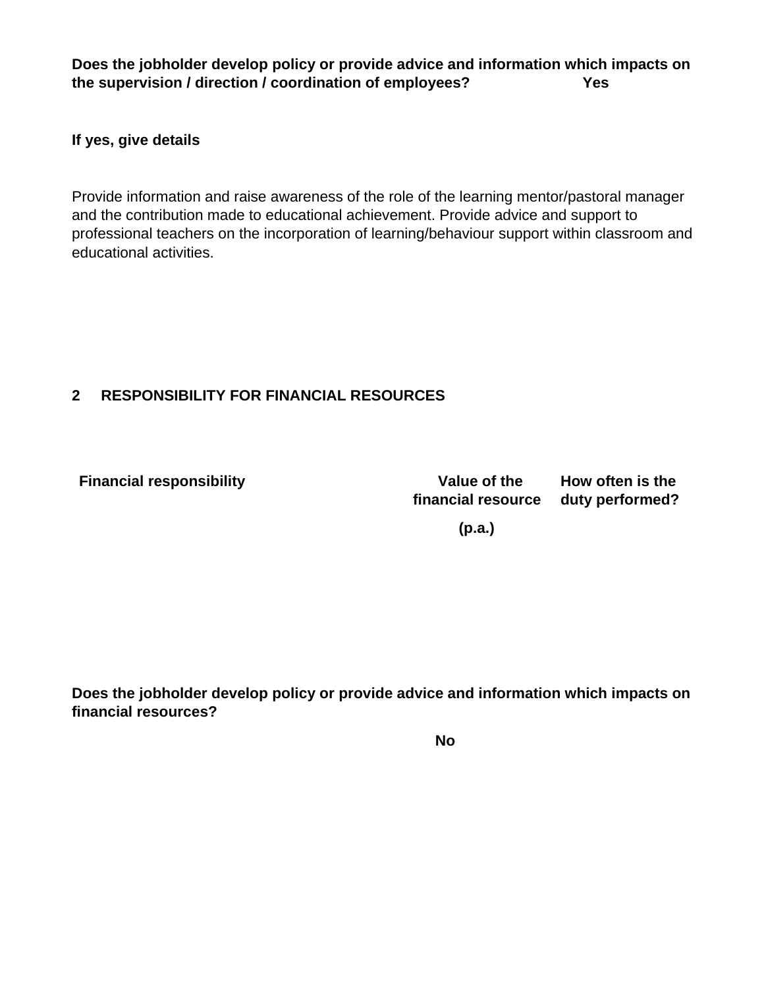**Does the jobholder develop policy or provide advice and information which impacts on the supervision / direction / coordination of employees? Yes** 

**If yes, give details**

Provide information and raise awareness of the role of the learning mentor/pastoral manager and the contribution made to educational achievement. Provide advice and support to professional teachers on the incorporation of learning/behaviour support within classroom and educational activities.

## **2 RESPONSIBILITY FOR FINANCIAL RESOURCES**

**Financial responsibility Constraining Service Constraining Service Constraining Constraining Constraining Constraining Constraining Constraining Constraining Constraining Construction Construction Constraining Constrainin** 

**financial resource duty performed?**

**How often is the** 

 **(p.a.)**

**Does the jobholder develop policy or provide advice and information which impacts on financial resources?**

**No**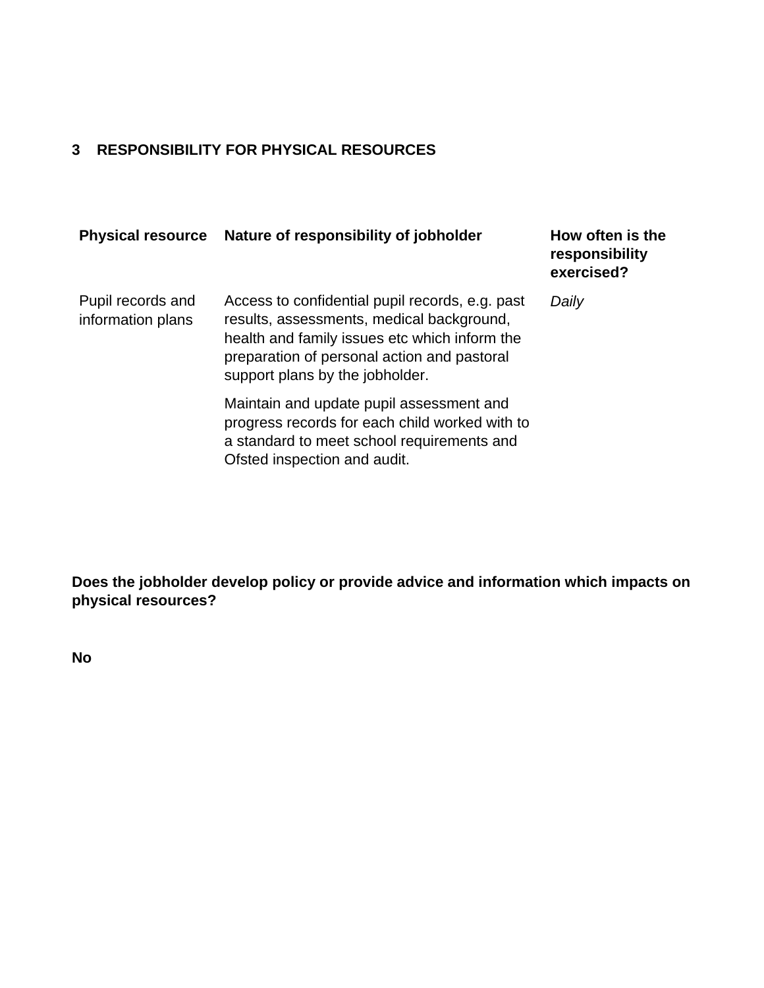# **3 RESPONSIBILITY FOR PHYSICAL RESOURCES**

| <b>Physical resource</b>               | Nature of responsibility of jobholder                                                                                                                                                                                           | How often is the<br>responsibility<br>exercised? |
|----------------------------------------|---------------------------------------------------------------------------------------------------------------------------------------------------------------------------------------------------------------------------------|--------------------------------------------------|
| Pupil records and<br>information plans | Access to confidential pupil records, e.g. past<br>results, assessments, medical background,<br>health and family issues etc which inform the<br>preparation of personal action and pastoral<br>support plans by the jobholder. | Daily                                            |
|                                        | Maintain and update pupil assessment and<br>progress records for each child worked with to<br>a standard to meet school requirements and<br>Ofsted inspection and audit.                                                        |                                                  |

**Does the jobholder develop policy or provide advice and information which impacts on physical resources?**

**No**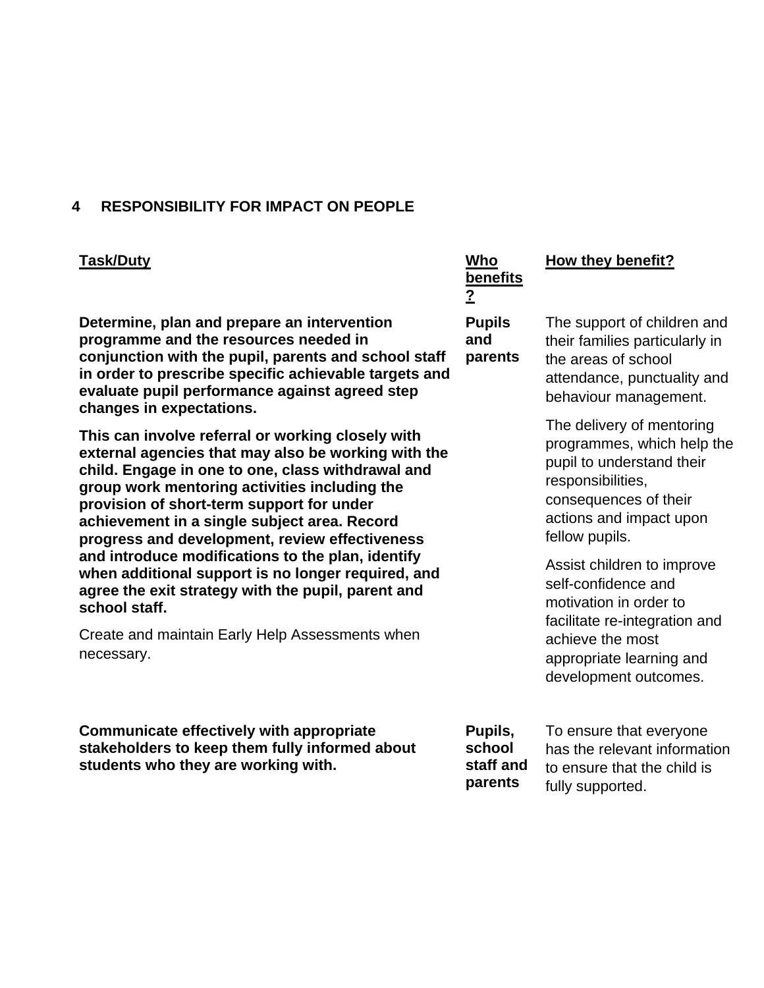#### **4 RESPONSIBILITY FOR IMPACT ON PEOPLE**

#### **Task/Duty Who**

**Determine, plan and prepare an intervention programme and the resources needed in conjunction with the pupil, parents and school staff in order to prescribe specific achievable targets and evaluate pupil performance against agreed step changes in expectations.** 

**This can involve referral or working closely with external agencies that may also be working with the child. Engage in one to one, class withdrawal and group work mentoring activities including the provision of short-term support for under achievement in a single subject area. Record progress and development, review effectiveness and introduce modifications to the plan, identify when additional support is no longer required, and agree the exit strategy with the pupil, parent and school staff.** 

Create and maintain Early Help Assessments when necessary.

**Communicate effectively with appropriate stakeholders to keep them fully informed about students who they are working with.**

**benefits ?**

**Pupils and parents**

# **How they benefit?**

The support of children and their families particularly in the areas of school attendance, punctuality and behaviour management.

The delivery of mentoring programmes, which help the pupil to understand their responsibilities, consequences of their actions and impact upon fellow pupils.

Assist children to improve self-confidence and motivation in order to facilitate re-integration and achieve the most appropriate learning and development outcomes.

**Pupils, school staff and parents**

To ensure that everyone has the relevant information to ensure that the child is fully supported.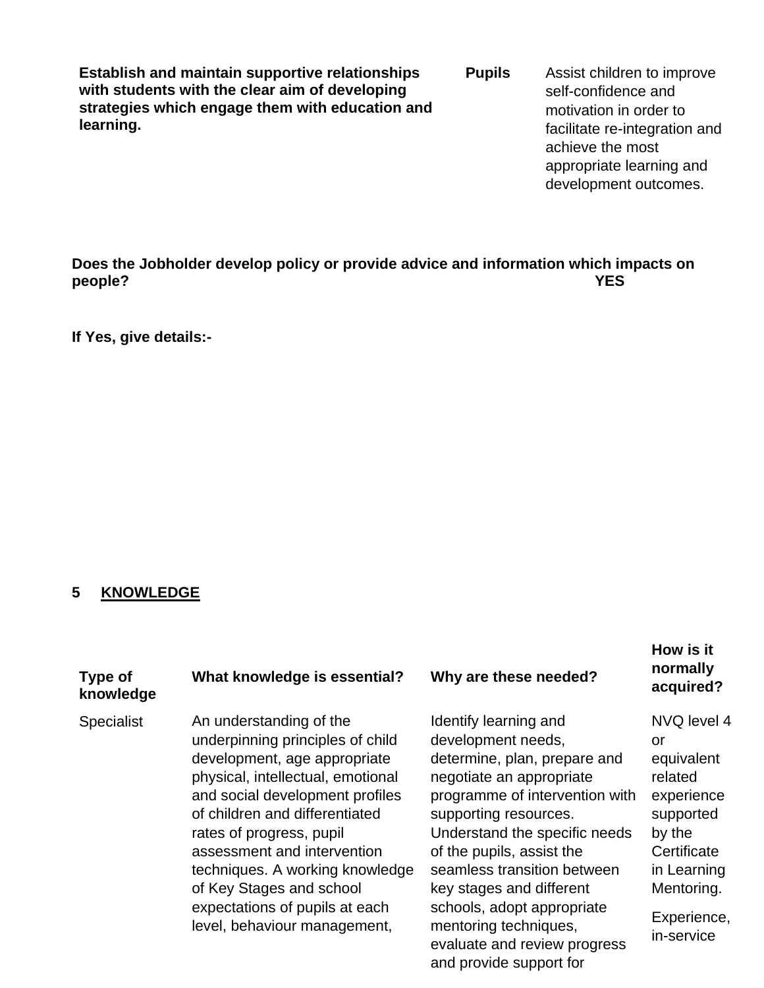**Establish and maintain supportive relationships with students with the clear aim of developing strategies which engage them with education and learning.**

**Pupils** Assist children to improve self-confidence and motivation in order to facilitate re-integration and achieve the most appropriate learning and development outcomes.

**Does the Jobholder develop policy or provide advice and information which impacts on people? YES**

**If Yes, give details:-**

#### **5 KNOWLEDGE**

#### **Type of knowledge What knowledge is essential? Why are these needed?**

Specialist An understanding of the underpinning principles of child development, age appropriate physical, intellectual, emotional and social development profiles of children and differentiated rates of progress, pupil assessment and intervention techniques. A working knowledge of Key Stages and school expectations of pupils at each level, behaviour management,

Identify learning and development needs, determine, plan, prepare and negotiate an appropriate programme of intervention with supporting resources. Understand the specific needs of the pupils, assist the seamless transition between key stages and different schools, adopt appropriate mentoring techniques, evaluate and review progress and provide support for

#### **How is it normally acquired?**

NVQ level 4 or equivalent related experience supported by the **Certificate** in Learning Mentoring. Experience,

in-service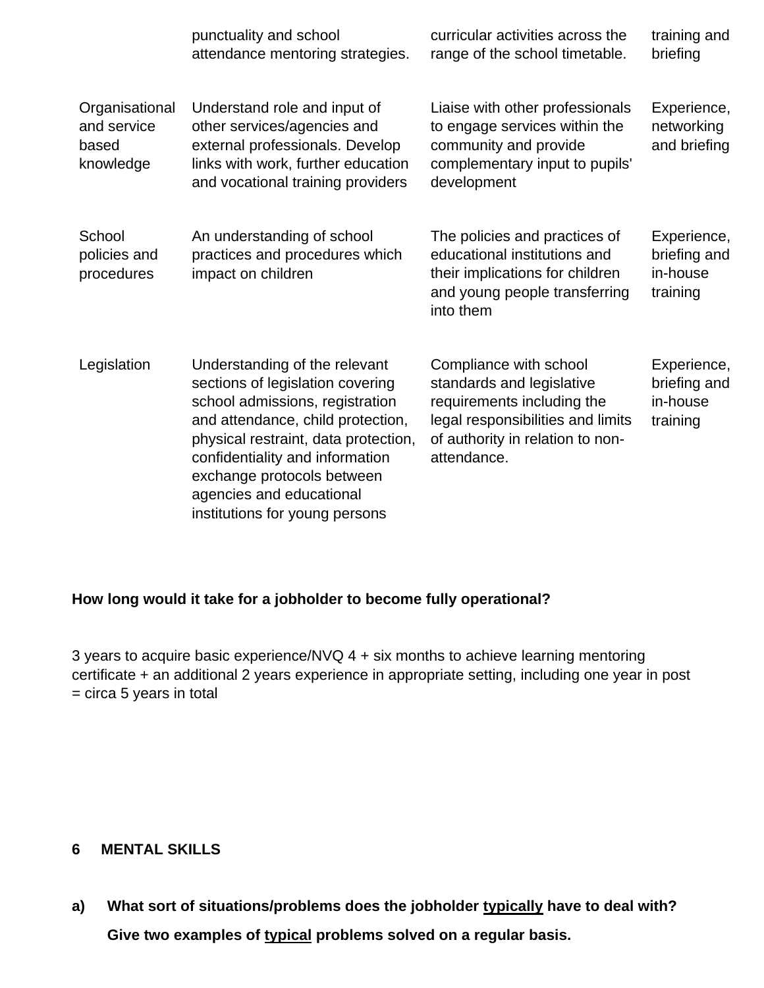|                                                     | punctuality and school<br>attendance mentoring strategies.                                                                                                                                                                                                                                                       | curricular activities across the<br>range of the school timetable.                                                                                                        | training and<br>briefing                            |
|-----------------------------------------------------|------------------------------------------------------------------------------------------------------------------------------------------------------------------------------------------------------------------------------------------------------------------------------------------------------------------|---------------------------------------------------------------------------------------------------------------------------------------------------------------------------|-----------------------------------------------------|
| Organisational<br>and service<br>based<br>knowledge | Understand role and input of<br>other services/agencies and<br>external professionals. Develop<br>links with work, further education<br>and vocational training providers                                                                                                                                        | Liaise with other professionals<br>to engage services within the<br>community and provide<br>complementary input to pupils'<br>development                                | Experience,<br>networking<br>and briefing           |
| School<br>policies and<br>procedures                | An understanding of school<br>practices and procedures which<br>impact on children                                                                                                                                                                                                                               | The policies and practices of<br>educational institutions and<br>their implications for children<br>and young people transferring<br>into them                            | Experience,<br>briefing and<br>in-house<br>training |
| Legislation                                         | Understanding of the relevant<br>sections of legislation covering<br>school admissions, registration<br>and attendance, child protection,<br>physical restraint, data protection,<br>confidentiality and information<br>exchange protocols between<br>agencies and educational<br>institutions for young persons | Compliance with school<br>standards and legislative<br>requirements including the<br>legal responsibilities and limits<br>of authority in relation to non-<br>attendance. | Experience,<br>briefing and<br>in-house<br>training |

## **How long would it take for a jobholder to become fully operational?**

3 years to acquire basic experience/NVQ 4 + six months to achieve learning mentoring certificate + an additional 2 years experience in appropriate setting, including one year in post  $=$  circa 5 years in total

#### **6 MENTAL SKILLS**

**a) What sort of situations/problems does the jobholder typically have to deal with? Give two examples of typical problems solved on a regular basis.**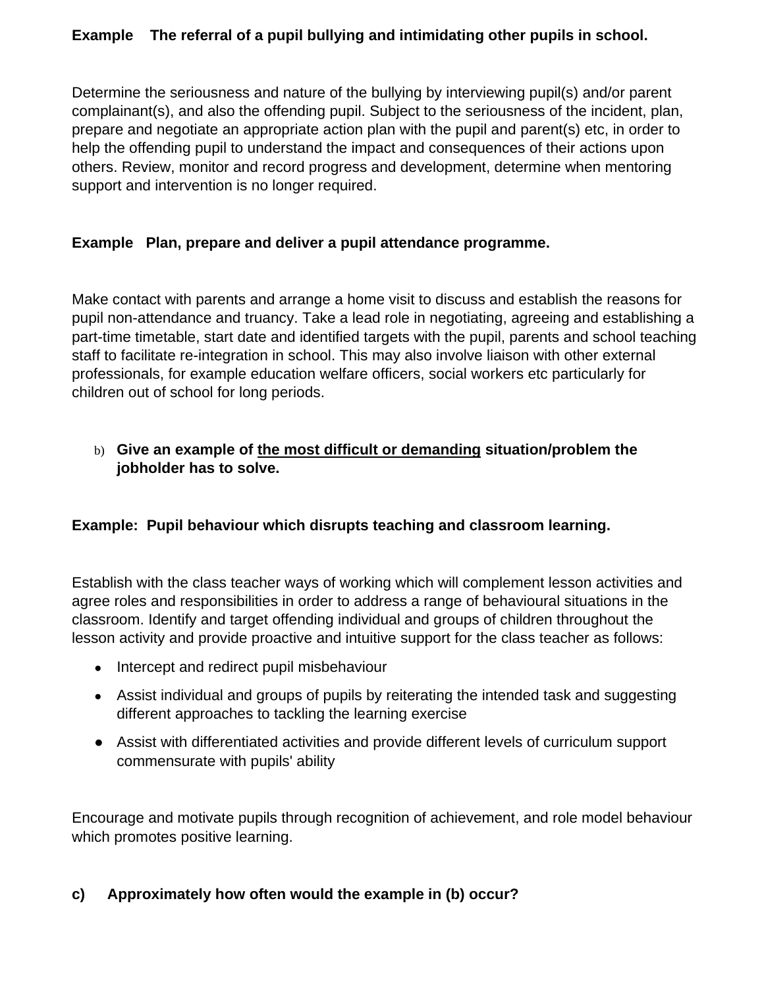## **Example The referral of a pupil bullying and intimidating other pupils in school.**

Determine the seriousness and nature of the bullying by interviewing pupil(s) and/or parent complainant(s), and also the offending pupil. Subject to the seriousness of the incident, plan, prepare and negotiate an appropriate action plan with the pupil and parent(s) etc, in order to help the offending pupil to understand the impact and consequences of their actions upon others. Review, monitor and record progress and development, determine when mentoring support and intervention is no longer required.

## **Example Plan, prepare and deliver a pupil attendance programme.**

Make contact with parents and arrange a home visit to discuss and establish the reasons for pupil non-attendance and truancy. Take a lead role in negotiating, agreeing and establishing a part-time timetable, start date and identified targets with the pupil, parents and school teaching staff to facilitate re-integration in school. This may also involve liaison with other external professionals, for example education welfare officers, social workers etc particularly for children out of school for long periods.

## b) **Give an example of the most difficult or demanding situation/problem the jobholder has to solve.**

## **Example: Pupil behaviour which disrupts teaching and classroom learning.**

Establish with the class teacher ways of working which will complement lesson activities and agree roles and responsibilities in order to address a range of behavioural situations in the classroom. Identify and target offending individual and groups of children throughout the lesson activity and provide proactive and intuitive support for the class teacher as follows:

- Intercept and redirect pupil misbehaviour
- Assist individual and groups of pupils by reiterating the intended task and suggesting different approaches to tackling the learning exercise
- Assist with differentiated activities and provide different levels of curriculum support commensurate with pupils' ability

Encourage and motivate pupils through recognition of achievement, and role model behaviour which promotes positive learning.

# **c) Approximately how often would the example in (b) occur?**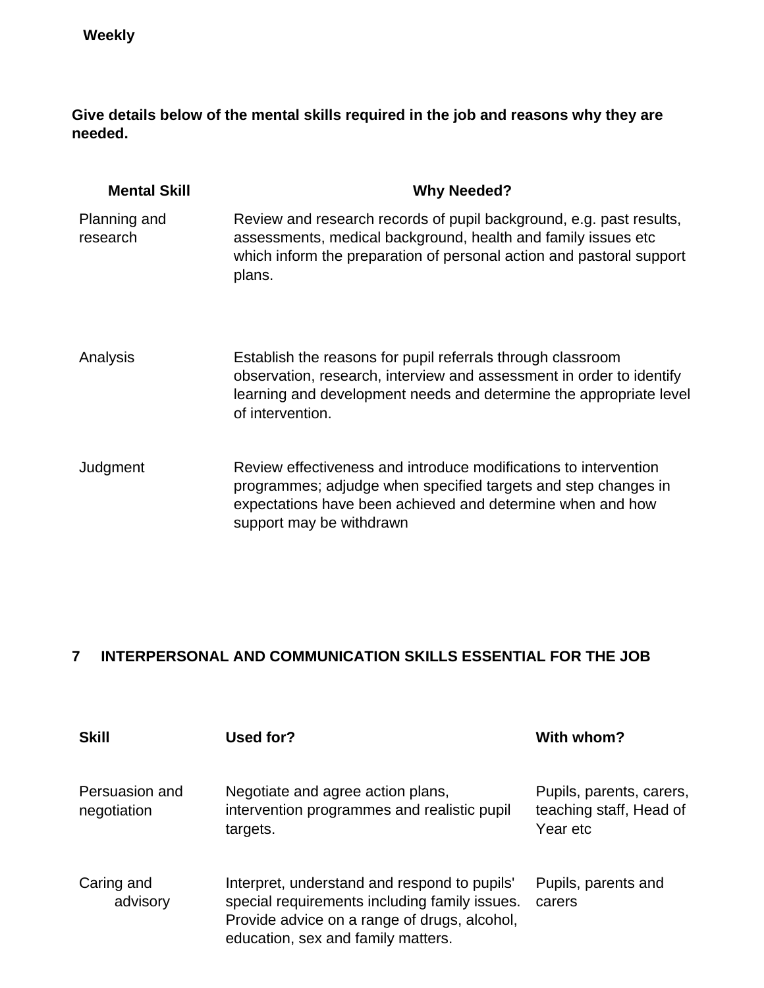**Give details below of the mental skills required in the job and reasons why they are needed.**

| <b>Mental Skill</b>      | <b>Why Needed?</b>                                                                                                                                                                                                            |
|--------------------------|-------------------------------------------------------------------------------------------------------------------------------------------------------------------------------------------------------------------------------|
| Planning and<br>research | Review and research records of pupil background, e.g. past results,<br>assessments, medical background, health and family issues etc<br>which inform the preparation of personal action and pastoral support<br>plans.        |
| Analysis                 | Establish the reasons for pupil referrals through classroom<br>observation, research, interview and assessment in order to identify<br>learning and development needs and determine the appropriate level<br>of intervention. |
| Judgment                 | Review effectiveness and introduce modifications to intervention<br>programmes; adjudge when specified targets and step changes in<br>expectations have been achieved and determine when and how<br>support may be withdrawn  |

# **7 INTERPERSONAL AND COMMUNICATION SKILLS ESSENTIAL FOR THE JOB**

| <b>Skill</b>                  | Used for?                                                                                                                                                                           | With whom?                                                      |
|-------------------------------|-------------------------------------------------------------------------------------------------------------------------------------------------------------------------------------|-----------------------------------------------------------------|
| Persuasion and<br>negotiation | Negotiate and agree action plans,<br>intervention programmes and realistic pupil<br>targets.                                                                                        | Pupils, parents, carers,<br>teaching staff, Head of<br>Year etc |
| Caring and<br>advisory        | Interpret, understand and respond to pupils'<br>special requirements including family issues.<br>Provide advice on a range of drugs, alcohol,<br>education, sex and family matters. | Pupils, parents and<br>carers                                   |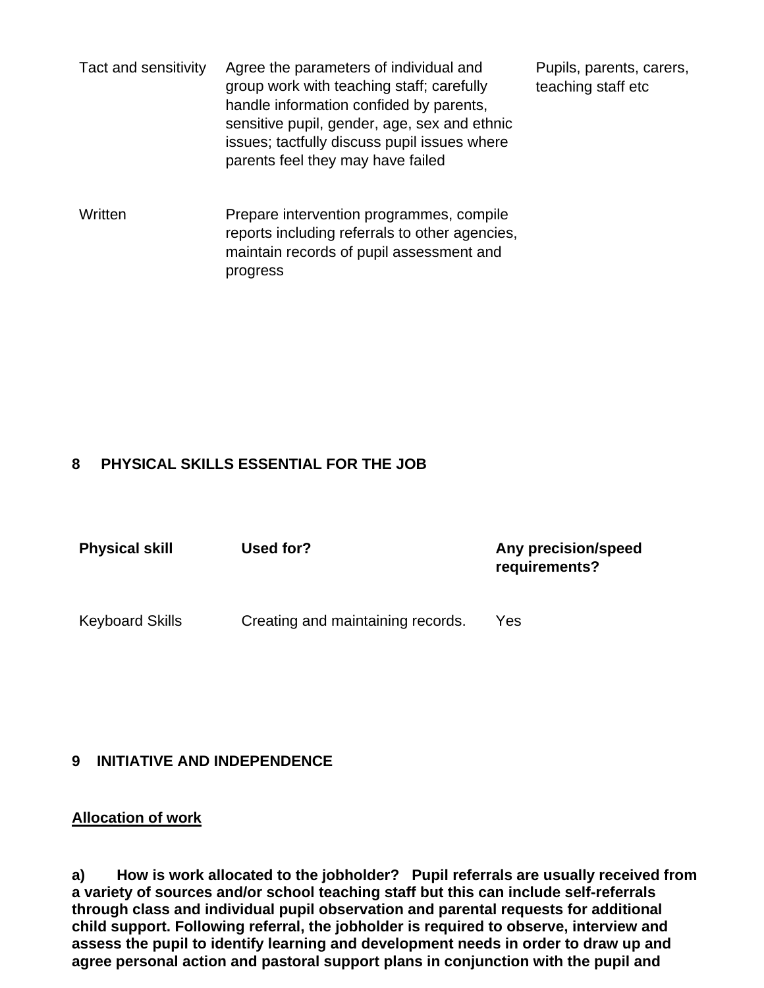Tact and sensitivity Agree the parameters of individual and group work with teaching staff; carefully handle information confided by parents, sensitive pupil, gender, age, sex and ethnic issues; tactfully discuss pupil issues where parents feel they may have failed

Pupils, parents, carers, teaching staff etc

Written Prepare intervention programmes, compile reports including referrals to other agencies, maintain records of pupil assessment and progress

## **8 PHYSICAL SKILLS ESSENTIAL FOR THE JOB**

| <b>Physical skill</b>  | Used for?                         | Any precision/speed<br>requirements? |
|------------------------|-----------------------------------|--------------------------------------|
| <b>Keyboard Skills</b> | Creating and maintaining records. | Yes                                  |

#### **9 INITIATIVE AND INDEPENDENCE**

#### **Allocation of work**

**a) How is work allocated to the jobholder? Pupil referrals are usually received from a variety of sources and/or school teaching staff but this can include self-referrals through class and individual pupil observation and parental requests for additional child support. Following referral, the jobholder is required to observe, interview and assess the pupil to identify learning and development needs in order to draw up and agree personal action and pastoral support plans in conjunction with the pupil and**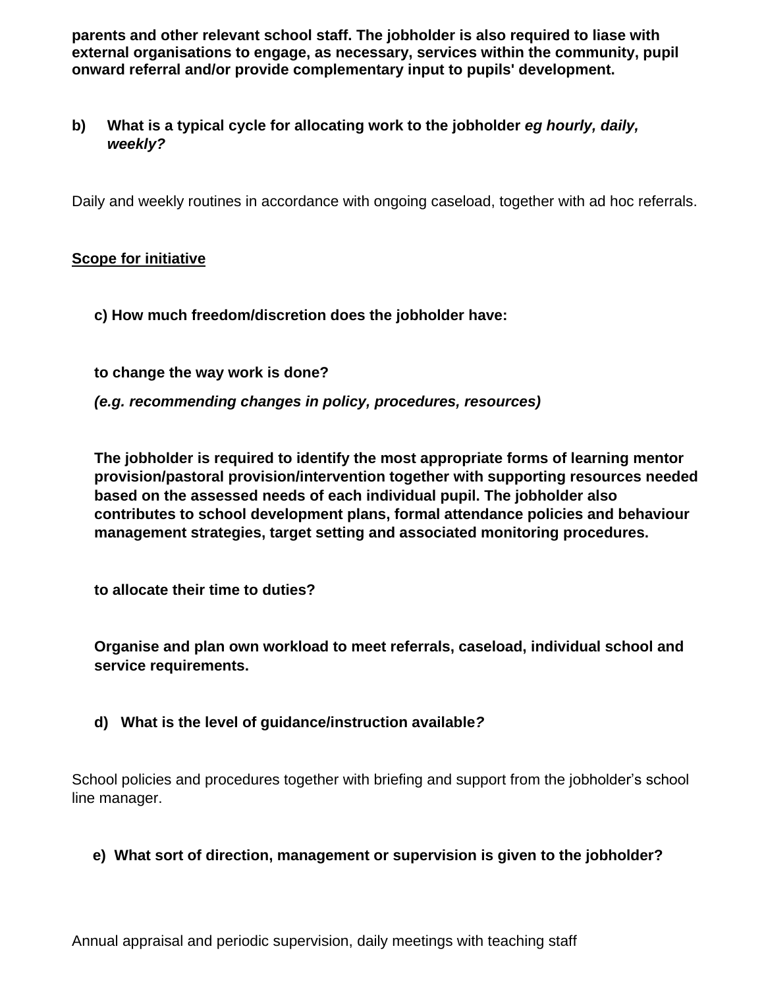**parents and other relevant school staff. The jobholder is also required to liase with external organisations to engage, as necessary, services within the community, pupil onward referral and/or provide complementary input to pupils' development.** 

**b) What is a typical cycle for allocating work to the jobholder** *eg hourly, daily, weekly?*

Daily and weekly routines in accordance with ongoing caseload, together with ad hoc referrals.

## **Scope for initiative**

**c) How much freedom/discretion does the jobholder have:**

**to change the way work is done?** *(e.g. recommending changes in policy, procedures, resources)*

**The jobholder is required to identify the most appropriate forms of learning mentor provision/pastoral provision/intervention together with supporting resources needed based on the assessed needs of each individual pupil. The jobholder also contributes to school development plans, formal attendance policies and behaviour management strategies, target setting and associated monitoring procedures.** 

**to allocate their time to duties?**

**Organise and plan own workload to meet referrals, caseload, individual school and service requirements.**

**d) What is the level of guidance/instruction available***?* 

School policies and procedures together with briefing and support from the jobholder's school line manager.

# **e) What sort of direction, management or supervision is given to the jobholder?**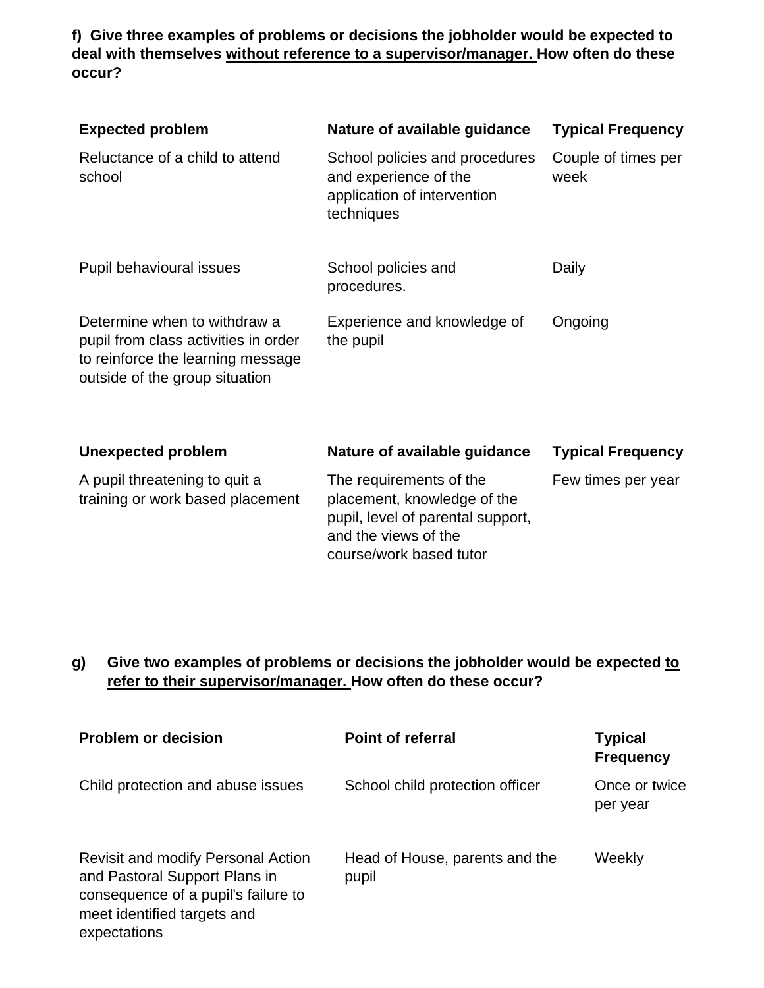**f) Give three examples of problems or decisions the jobholder would be expected to deal with themselves without reference to a supervisor/manager. How often do these occur?**

| <b>Expected problem</b>                                                                                                                     | Nature of available guidance                                                                         | <b>Typical Frequency</b>    |
|---------------------------------------------------------------------------------------------------------------------------------------------|------------------------------------------------------------------------------------------------------|-----------------------------|
| Reluctance of a child to attend<br>school                                                                                                   | School policies and procedures<br>and experience of the<br>application of intervention<br>techniques | Couple of times per<br>week |
| Pupil behavioural issues                                                                                                                    | School policies and<br>procedures.                                                                   | Daily                       |
| Determine when to withdraw a<br>pupil from class activities in order<br>to reinforce the learning message<br>outside of the group situation | Experience and knowledge of<br>the pupil                                                             | Ongoing                     |

| <b>Unexpected problem</b>                                         | Nature of available guidance                                                                                                                   | <b>Typical Frequency</b> |
|-------------------------------------------------------------------|------------------------------------------------------------------------------------------------------------------------------------------------|--------------------------|
| A pupil threatening to quit a<br>training or work based placement | The requirements of the<br>placement, knowledge of the<br>pupil, level of parental support,<br>and the views of the<br>course/work based tutor | Few times per year       |

# **g) Give two examples of problems or decisions the jobholder would be expected to refer to their supervisor/manager. How often do these occur?**

| <b>Problem or decision</b>                                                                                                                                       | <b>Point of referral</b>                | <b>Typical</b><br><b>Frequency</b> |
|------------------------------------------------------------------------------------------------------------------------------------------------------------------|-----------------------------------------|------------------------------------|
| Child protection and abuse issues                                                                                                                                | School child protection officer         | Once or twice<br>per year          |
| <b>Revisit and modify Personal Action</b><br>and Pastoral Support Plans in<br>consequence of a pupil's failure to<br>meet identified targets and<br>expectations | Head of House, parents and the<br>pupil | Weekly                             |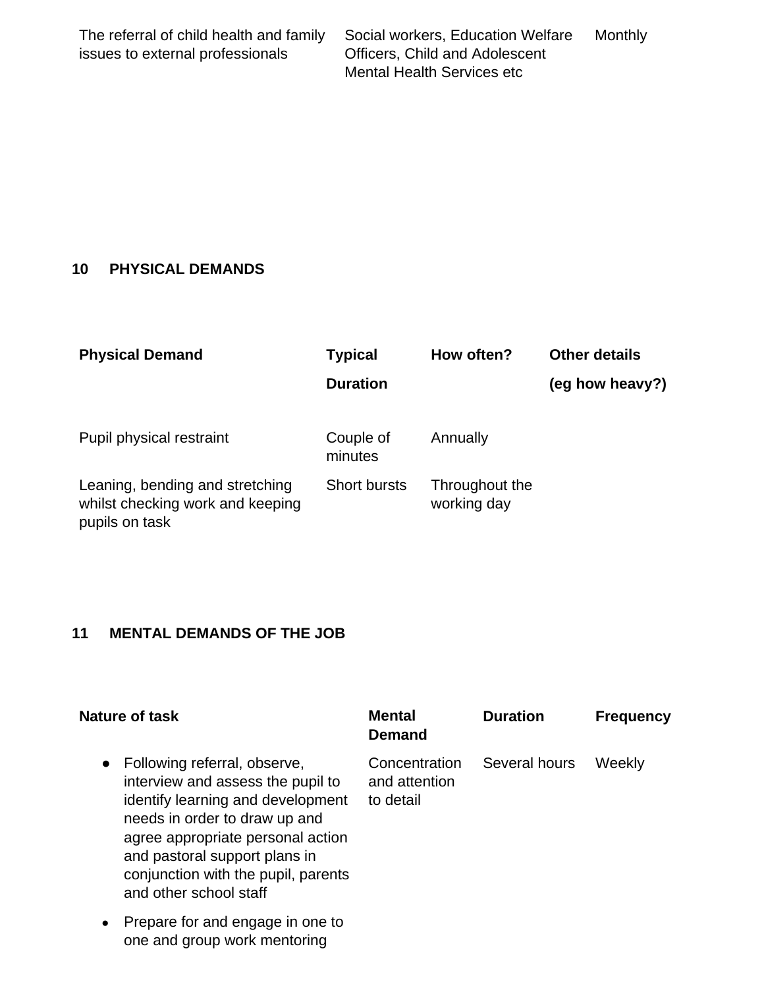| The referral of child health and family | Social workers, Education Welfare     | Monthly |
|-----------------------------------------|---------------------------------------|---------|
| issues to external professionals        | <b>Officers, Child and Adolescent</b> |         |
|                                         | <b>Mental Health Services etc</b>     |         |

# **10 PHYSICAL DEMANDS**

| <b>Physical Demand</b>                                                                | <b>Typical</b>       | How often?                    | <b>Other details</b> |
|---------------------------------------------------------------------------------------|----------------------|-------------------------------|----------------------|
|                                                                                       | <b>Duration</b>      |                               | (eg how heavy?)      |
| Pupil physical restraint                                                              | Couple of<br>minutes | Annually                      |                      |
| Leaning, bending and stretching<br>whilst checking work and keeping<br>pupils on task | <b>Short bursts</b>  | Throughout the<br>working day |                      |

# **11 MENTAL DEMANDS OF THE JOB**

| Nature of task                                                                                                                                                                                                                                                                              | Mental<br>Demand                            | <b>Duration</b> | <b>Frequency</b> |
|---------------------------------------------------------------------------------------------------------------------------------------------------------------------------------------------------------------------------------------------------------------------------------------------|---------------------------------------------|-----------------|------------------|
| Following referral, observe,<br>$\bullet$<br>interview and assess the pupil to<br>identify learning and development<br>needs in order to draw up and<br>agree appropriate personal action<br>and pastoral support plans in<br>conjunction with the pupil, parents<br>and other school staff | Concentration<br>and attention<br>to detail | Several hours   | Weekly           |
| Prepare for and engage in one to<br>$\bullet$<br>one and group work mentoring                                                                                                                                                                                                               |                                             |                 |                  |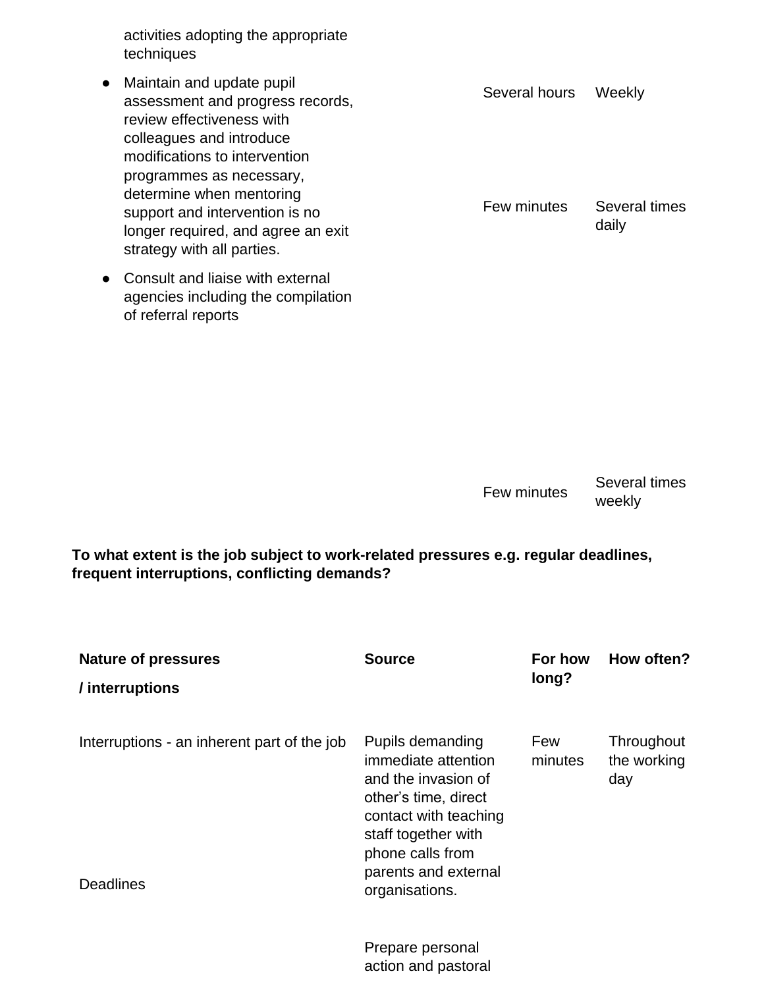activities adopting the appropriate techniques

- Maintain and update pupil assessment and progress records, review effectiveness with colleagues and introduce modifications to intervention programmes as necessary, determine when mentoring support and intervention is no longer required, and agree an exit strategy with all parties.
- Consult and liaise with external agencies including the compilation of referral reports

Several hours Weekly

Few minutes Several times daily

Few minutes Several times weekly

**To what extent is the job subject to work-related pressures e.g. regular deadlines, frequent interruptions, conflicting demands?**

| <b>Nature of pressures</b>                                      | <b>Source</b>                                                                                                                                                                                        | For how        | How often?                       |
|-----------------------------------------------------------------|------------------------------------------------------------------------------------------------------------------------------------------------------------------------------------------------------|----------------|----------------------------------|
| / interruptions                                                 |                                                                                                                                                                                                      | long?          |                                  |
| Interruptions - an inherent part of the job<br><b>Deadlines</b> | Pupils demanding<br>immediate attention<br>and the invasion of<br>other's time, direct<br>contact with teaching<br>staff together with<br>phone calls from<br>parents and external<br>organisations. | Few<br>minutes | Throughout<br>the working<br>day |
|                                                                 | Prepare personal<br>action and pastoral                                                                                                                                                              |                |                                  |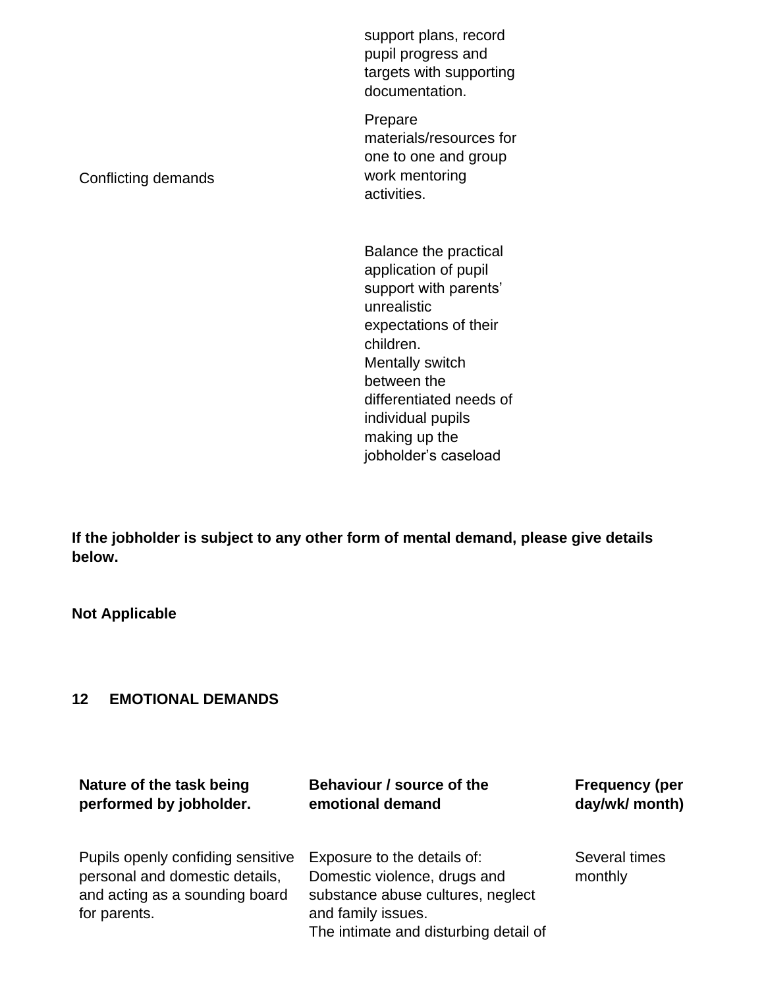support plans, record pupil progress and targets with supporting documentation.

Prepare materials/resources for one to one and group work mentoring activities.

Conflicting demands

Balance the practical application of pupil support with parents' unrealistic expectations of their children. Mentally switch between the differentiated needs of individual pupils making up the jobholder's caseload

**If the jobholder is subject to any other form of mental demand, please give details below.**

**Not Applicable**

## **12 EMOTIONAL DEMANDS**

| Nature of the task being                                                                                              | Behaviour / source of the                                                                                                                                       | <b>Frequency (per</b>    |
|-----------------------------------------------------------------------------------------------------------------------|-----------------------------------------------------------------------------------------------------------------------------------------------------------------|--------------------------|
| performed by jobholder.                                                                                               | emotional demand                                                                                                                                                | day/wk/ month)           |
| Pupils openly confiding sensitive<br>personal and domestic details,<br>and acting as a sounding board<br>for parents. | Exposure to the details of:<br>Domestic violence, drugs and<br>substance abuse cultures, neglect<br>and family issues.<br>The intimate and disturbing detail of | Several times<br>monthly |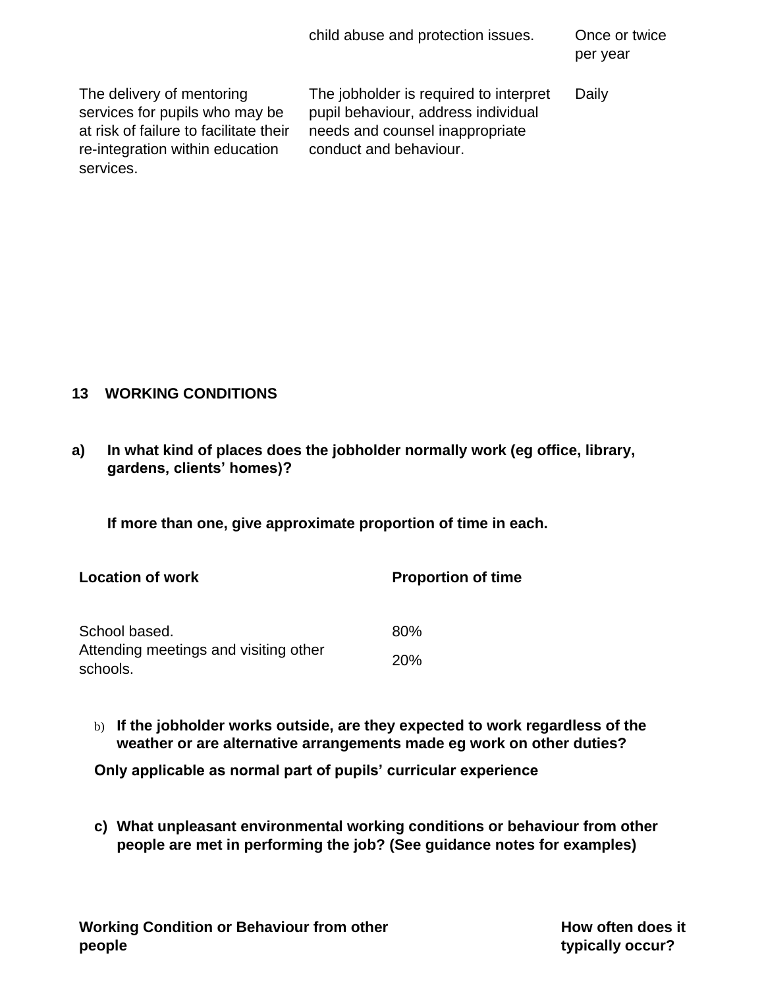child abuse and protection issues. Once or twice

per year

The delivery of mentoring services for pupils who may be at risk of failure to facilitate their re-integration within education services.

The jobholder is required to interpret pupil behaviour, address individual needs and counsel inappropriate conduct and behaviour.

Daily

## **13 WORKING CONDITIONS**

**a) In what kind of places does the jobholder normally work (eg office, library, gardens, clients' homes)?** 

**If more than one, give approximate proportion of time in each.**

| <b>Location of work</b>                           | <b>Proportion of time</b> |
|---------------------------------------------------|---------------------------|
| School based.                                     | 80%                       |
| Attending meetings and visiting other<br>schools. | 20 <sub>%</sub>           |

b) **If the jobholder works outside, are they expected to work regardless of the weather or are alternative arrangements made eg work on other duties?**

**Only applicable as normal part of pupils' curricular experience**

**c) What unpleasant environmental working conditions or behaviour from other people are met in performing the job? (See guidance notes for examples)**